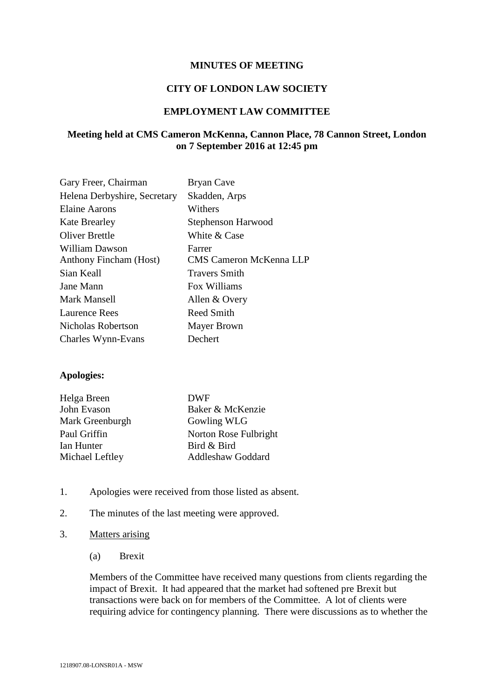### **MINUTES OF MEETING**

### **CITY OF LONDON LAW SOCIETY**

# **EMPLOYMENT LAW COMMITTEE**

# **Meeting held at CMS Cameron McKenna, Cannon Place, 78 Cannon Street, London on 7 September 2016 at 12:45 pm**

| Gary Freer, Chairman          | Bryan Cave                     |
|-------------------------------|--------------------------------|
| Helena Derbyshire, Secretary  | Skadden, Arps                  |
| <b>Elaine Aarons</b>          | Withers                        |
| <b>Kate Brearley</b>          | Stephenson Harwood             |
| Oliver Brettle                | White & Case                   |
| <b>William Dawson</b>         | Farrer                         |
| <b>Anthony Fincham (Host)</b> | <b>CMS Cameron McKenna LLP</b> |
| Sian Keall                    | <b>Travers Smith</b>           |
| Jane Mann                     | Fox Williams                   |
| Mark Mansell                  | Allen & Overy                  |
| Laurence Rees                 | Reed Smith                     |
| Nicholas Robertson            | Mayer Brown                    |
| Charles Wynn-Evans            | Dechert                        |

#### **Apologies:**

| Helga Breen     | <b>DWF</b>               |
|-----------------|--------------------------|
| John Evason     | Baker & McKenzie         |
| Mark Greenburgh | Gowling WLG              |
| Paul Griffin    | Norton Rose Fulbright    |
| Ian Hunter      | Bird & Bird              |
| Michael Leftley | <b>Addleshaw Goddard</b> |

- 1. Apologies were received from those listed as absent.
- 2. The minutes of the last meeting were approved.
- 3. Matters arising
	- (a) Brexit

Members of the Committee have received many questions from clients regarding the impact of Brexit. It had appeared that the market had softened pre Brexit but transactions were back on for members of the Committee. A lot of clients were requiring advice for contingency planning. There were discussions as to whether the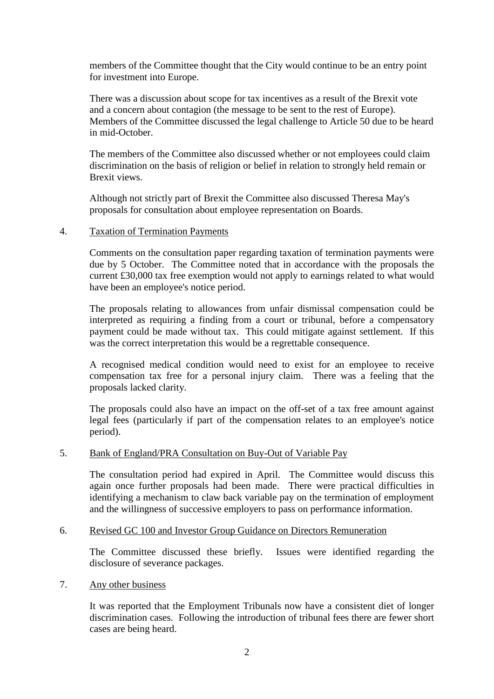members of the Committee thought that the City would continue to be an entry point for investment into Europe.

There was a discussion about scope for tax incentives as a result of the Brexit vote and a concern about contagion (the message to be sent to the rest of Europe). Members of the Committee discussed the legal challenge to Article 50 due to be heard in mid-October.

The members of the Committee also discussed whether or not employees could claim discrimination on the basis of religion or belief in relation to strongly held remain or Brexit views.

Although not strictly part of Brexit the Committee also discussed Theresa May's proposals for consultation about employee representation on Boards.

### 4. Taxation of Termination Payments

Comments on the consultation paper regarding taxation of termination payments were due by 5 October. The Committee noted that in accordance with the proposals the current £30,000 tax free exemption would not apply to earnings related to what would have been an employee's notice period.

The proposals relating to allowances from unfair dismissal compensation could be interpreted as requiring a finding from a court or tribunal, before a compensatory payment could be made without tax. This could mitigate against settlement. If this was the correct interpretation this would be a regrettable consequence.

A recognised medical condition would need to exist for an employee to receive compensation tax free for a personal injury claim. There was a feeling that the proposals lacked clarity.

The proposals could also have an impact on the off-set of a tax free amount against legal fees (particularly if part of the compensation relates to an employee's notice period).

# 5. Bank of England/PRA Consultation on Buy-Out of Variable Pay

The consultation period had expired in April. The Committee would discuss this again once further proposals had been made. There were practical difficulties in identifying a mechanism to claw back variable pay on the termination of employment and the willingness of successive employers to pass on performance information.

# 6. Revised GC 100 and Investor Group Guidance on Directors Remuneration

The Committee discussed these briefly. Issues were identified regarding the disclosure of severance packages.

#### 7. Any other business

It was reported that the Employment Tribunals now have a consistent diet of longer discrimination cases. Following the introduction of tribunal fees there are fewer short cases are being heard.